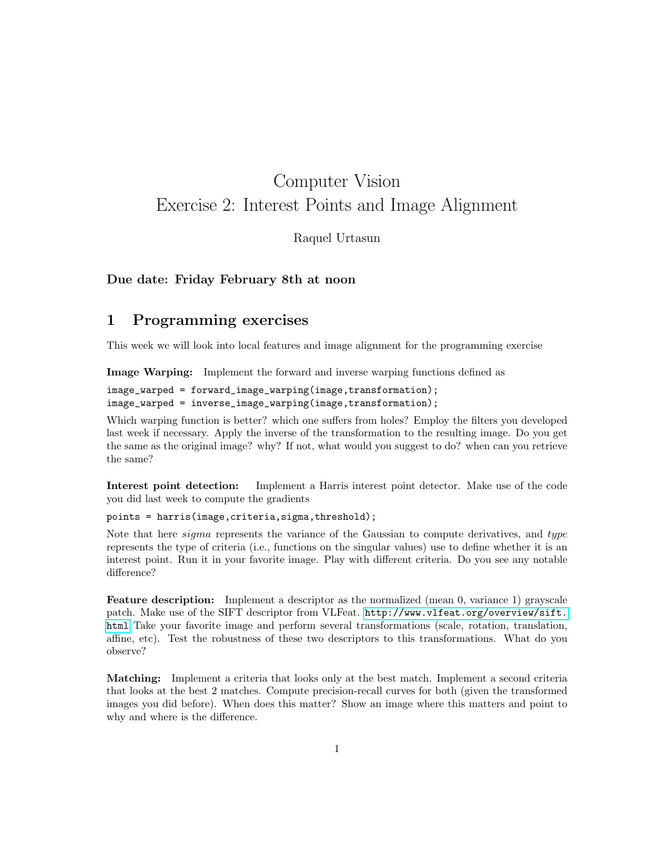# Computer Vision Exercise 2: Interest Points and Image Alignment

Raquel Urtasun

#### Due date: Friday February 8th at noon

### 1 Programming exercises

This week we will look into local features and image alignment for the programming exercise

Image Warping: Implement the forward and inverse warping functions defined as

image\_warped = forward\_image\_warping(image,transformation); image\_warped = inverse\_image\_warping(image,transformation);

Which warping function is better? which one suffers from holes? Employ the filters you developed last week if necessary. Apply the inverse of the transformation to the resulting image. Do you get the same as the original image? why? If not, what would you suggest to do? when can you retrieve the same?

Interest point detection: Implement a Harris interest point detector. Make use of the code you did last week to compute the gradients

points = harris(image,criteria,sigma,threshold);

Note that here *sigma* represents the variance of the Gaussian to compute derivatives, and type represents the type of criteria (i.e., functions on the singular values) use to define whether it is an interest point. Run it in your favorite image. Play with different criteria. Do you see any notable difference?

Feature description: Implement a descriptor as the normalized (mean 0, variance 1) grayscale patch. Make use of the SIFT descriptor from VLFeat. [http://www.vlfeat.org/overview/sift.](http://www.vlfeat.org/overview/sift.html) [html](http://www.vlfeat.org/overview/sift.html) Take your favorite image and perform several transformations (scale, rotation, translation, affine, etc). Test the robustness of these two descriptors to this transformations. What do you observe?

Matching: Implement a criteria that looks only at the best match. Implement a second criteria that looks at the best 2 matches. Compute precision-recall curves for both (given the transformed images you did before). When does this matter? Show an image where this matters and point to why and where is the difference.